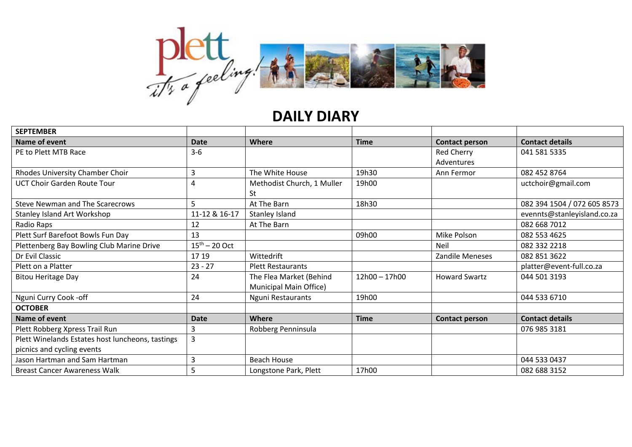

## **DAILY DIARY**

| <b>SEPTEMBER</b>                                 |                    |                            |               |                        |                             |
|--------------------------------------------------|--------------------|----------------------------|---------------|------------------------|-----------------------------|
| Name of event                                    | <b>Date</b>        | Where                      | <b>Time</b>   | <b>Contact person</b>  | <b>Contact details</b>      |
| PE to Plett MTB Race                             | $3-6$              |                            |               | <b>Red Cherry</b>      | 041 581 5335                |
|                                                  |                    |                            |               | Adventures             |                             |
| Rhodes University Chamber Choir                  | 3                  | The White House            | 19h30         | Ann Fermor             | 082 452 8764                |
| <b>UCT Choir Garden Route Tour</b>               | 4                  | Methodist Church, 1 Muller | 19h00         |                        | uctchoir@gmail.com          |
|                                                  |                    | St                         |               |                        |                             |
| <b>Steve Newman and The Scarecrows</b>           | 5                  | At The Barn                | 18h30         |                        | 082 394 1504 / 072 605 8573 |
| Stanley Island Art Workshop                      | 11-12 & 16-17      | Stanley Island             |               |                        | evennts@stanleyisland.co.za |
| Radio Raps                                       | 12                 | At The Barn                |               |                        | 082 668 7012                |
| Plett Surf Barefoot Bowls Fun Day                | 13                 |                            | 09h00         | Mike Polson            | 082 553 4625                |
| Plettenberg Bay Bowling Club Marine Drive        | $15^{th} - 20$ Oct |                            |               | Neil                   | 082 332 2218                |
| Dr Evil Classic                                  | 17 19              | Wittedrift                 |               | <b>Zandile Meneses</b> | 082 851 3622                |
| Plett on a Platter                               | $23 - 27$          | <b>Plett Restaurants</b>   |               |                        | platter@event-full.co.za    |
| <b>Bitou Heritage Day</b>                        | 24                 | The Flea Market (Behind    | 12h00 - 17h00 | <b>Howard Swartz</b>   | 044 501 3193                |
|                                                  |                    | Municipal Main Office)     |               |                        |                             |
| Nguni Curry Cook -off                            | 24                 | Nguni Restaurants          | 19h00         |                        | 044 533 6710                |
| <b>OCTOBER</b>                                   |                    |                            |               |                        |                             |
| Name of event                                    | <b>Date</b>        | Where                      | <b>Time</b>   | <b>Contact person</b>  | <b>Contact details</b>      |
| Plett Robberg Xpress Trail Run                   | 3                  | Robberg Penninsula         |               |                        | 076 985 3181                |
| Plett Winelands Estates host luncheons, tastings | $\overline{3}$     |                            |               |                        |                             |
| picnics and cycling events                       |                    |                            |               |                        |                             |
| Jason Hartman and Sam Hartman                    | 3                  | <b>Beach House</b>         |               |                        | 044 533 0437                |
| <b>Breast Cancer Awareness Walk</b>              | 5                  | Longstone Park, Plett      | 17h00         |                        | 082 688 3152                |